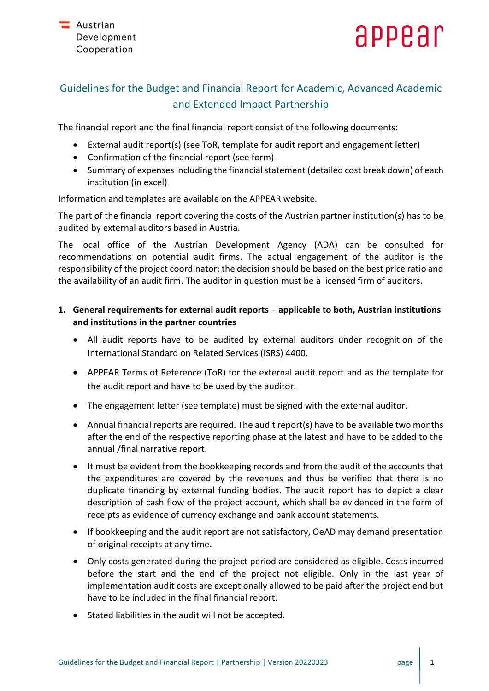

# Guidelines for the Budget and Financial Report for Academic, Advanced Academic and Extended Impact Partnership

The financial report and the final financial report consist of the following documents:

- External audit report(s) (see ToR, template for audit report and engagement letter)
- Confirmation of the financial report (see form)
- Summary of expenses including the financial statement (detailed cost break down) of each institution (in excel)

Information and templates are available on the APPEAR website.

The part of the financial report covering the costs of the Austrian partner institution(s) has to be audited by external auditors based in Austria.

The local office of the Austrian Development Agency (ADA) can be consulted for recommendations on potential audit firms. The actual engagement of the auditor is the responsibility of the project coordinator; the decision should be based on the best price ratio and the availability of an audit firm. The auditor in question must be a licensed firm of auditors.

# **1. General requirements for external audit reports – applicable to both, Austrian institutions and institutions in the partner countries**

- All audit reports have to be audited by external auditors under recognition of the International Standard on Related Services (ISRS) 4400.
- APPEAR Terms of Reference (ToR) for the external audit report and as the template for the audit report and have to be used by the auditor.
- The engagement letter (see template) must be signed with the external auditor.
- Annual financial reports are required. The audit report(s) have to be available two months after the end of the respective reporting phase at the latest and have to be added to the annual /final narrative report.
- It must be evident from the bookkeeping records and from the audit of the accounts that the expenditures are covered by the revenues and thus be verified that there is no duplicate financing by external funding bodies. The audit report has to depict a clear description of cash flow of the project account, which shall be evidenced in the form of receipts as evidence of currency exchange and bank account statements.
- If bookkeeping and the audit report are not satisfactory, OeAD may demand presentation of original receipts at any time.
- Only costs generated during the project period are considered as eligible. Costs incurred before the start and the end of the project not eligible. Only in the last year of implementation audit costs are exceptionally allowed to be paid after the project end but have to be included in the final financial report.
- Stated liabilities in the audit will not be accepted.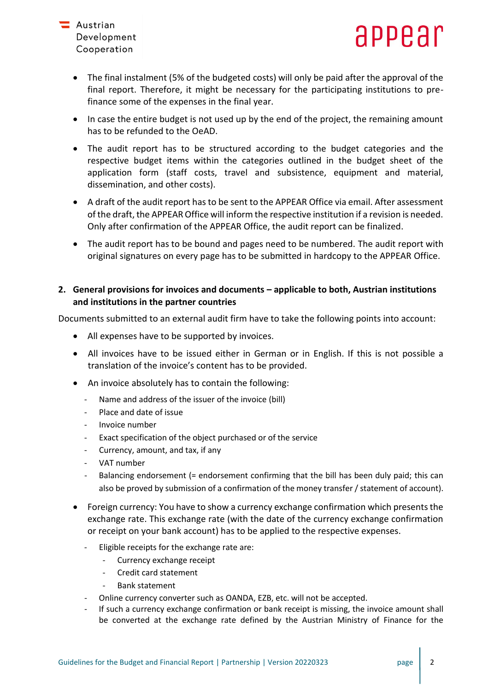



- The final instalment (5% of the budgeted costs) will only be paid after the approval of the final report. Therefore, it might be necessary for the participating institutions to prefinance some of the expenses in the final year.
- In case the entire budget is not used up by the end of the project, the remaining amount has to be refunded to the OeAD.
- The audit report has to be structured according to the budget categories and the respective budget items within the categories outlined in the budget sheet of the application form (staff costs, travel and subsistence, equipment and material, dissemination, and other costs).
- A draft of the audit report has to be sent to the APPEAR Office via email. After assessment of the draft, the APPEAR Office will inform the respective institution if a revision is needed. Only after confirmation of the APPEAR Office, the audit report can be finalized.
- The audit report has to be bound and pages need to be numbered. The audit report with original signatures on every page has to be submitted in hardcopy to the APPEAR Office.

# **2. General provisions for invoices and documents – applicable to both, Austrian institutions and institutions in the partner countries**

Documents submitted to an external audit firm have to take the following points into account:

- All expenses have to be supported by invoices.
- All invoices have to be issued either in German or in English. If this is not possible a translation of the invoice's content has to be provided.
- An invoice absolutely has to contain the following:
	- Name and address of the issuer of the invoice (bill)
	- Place and date of issue
	- Invoice number
	- Exact specification of the object purchased or of the service
	- Currency, amount, and tax, if any
	- VAT number
	- Balancing endorsement (= endorsement confirming that the bill has been duly paid; this can also be proved by submission of a confirmation of the money transfer / statement of account).
- Foreign currency: You have to show a currency exchange confirmation which presents the exchange rate. This exchange rate (with the date of the currency exchange confirmation or receipt on your bank account) has to be applied to the respective expenses.
	- Eligible receipts for the exchange rate are:
		- Currency exchange receipt
		- Credit card statement
		- Bank statement
	- Online currency converter such as OANDA, EZB, etc. will not be accepted.
	- If such a currency exchange confirmation or bank receipt is missing, the invoice amount shall be converted at the exchange rate defined by the Austrian Ministry of Finance for the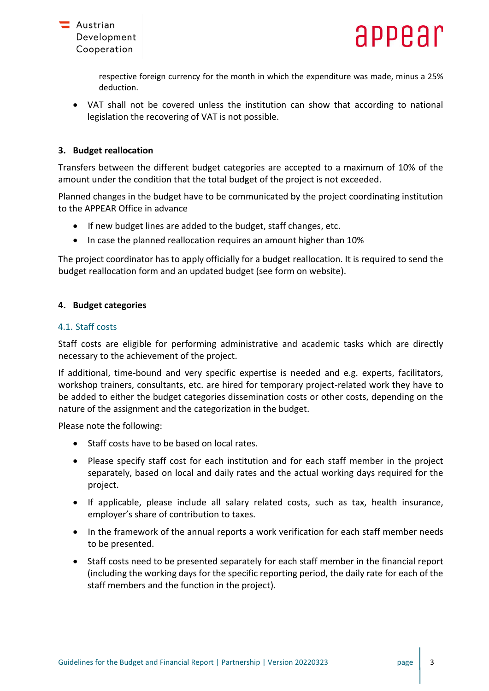

respective foreign currency for the month in which the expenditure was made, minus a 25% deduction.

• VAT shall not be covered unless the institution can show that according to national legislation the recovering of VAT is not possible.

# **3. Budget reallocation**

Transfers between the different budget categories are accepted to a maximum of 10% of the amount under the condition that the total budget of the project is not exceeded.

Planned changes in the budget have to be communicated by the project coordinating institution to the APPEAR Office in advance

- If new budget lines are added to the budget, staff changes, etc.
- In case the planned reallocation requires an amount higher than 10%

The project coordinator has to apply officially for a budget reallocation. It is required to send the budget reallocation form and an updated budget (see form on website).

# **4. Budget categories**

### 4.1. Staff costs

Staff costs are eligible for performing administrative and academic tasks which are directly necessary to the achievement of the project.

If additional, time-bound and very specific expertise is needed and e.g. experts, facilitators, workshop trainers, consultants, etc. are hired for temporary project-related work they have to be added to either the budget categories dissemination costs or other costs, depending on the nature of the assignment and the categorization in the budget.

Please note the following:

- Staff costs have to be based on local rates.
- Please specify staff cost for each institution and for each staff member in the project separately, based on local and daily rates and the actual working days required for the project.
- If applicable, please include all salary related costs, such as tax, health insurance, employer's share of contribution to taxes.
- In the framework of the annual reports a work verification for each staff member needs to be presented.
- Staff costs need to be presented separately for each staff member in the financial report (including the working days for the specific reporting period, the daily rate for each of the staff members and the function in the project).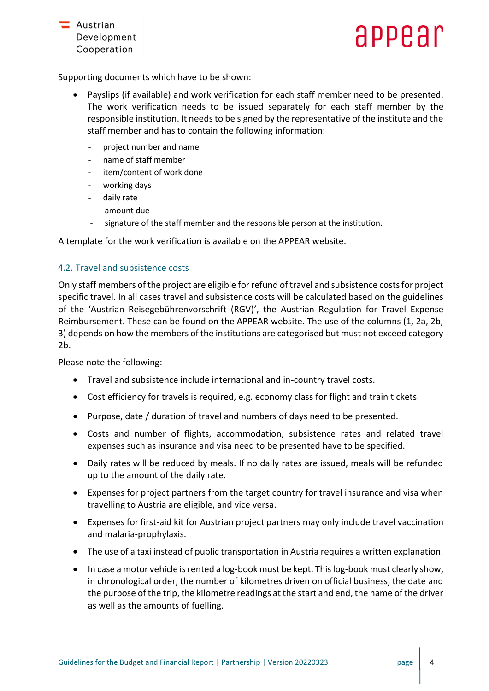

# appear

Supporting documents which have to be shown:

- Payslips (if available) and work verification for each staff member need to be presented. The work verification needs to be issued separately for each staff member by the responsible institution. It needs to be signed by the representative of the institute and the staff member and has to contain the following information:
	- project number and name
	- name of staff member
	- item/content of work done
	- working days
	- daily rate
	- amount due
	- signature of the staff member and the responsible person at the institution.

A template for the work verification is available on the APPEAR website.

# 4.2. Travel and subsistence costs

Only staff members of the project are eligible for refund of travel and subsistence costs for project specific travel. In all cases travel and subsistence costs will be calculated based on the guidelines of the 'Austrian Reisegebührenvorschrift (RGV)', the Austrian Regulation for Travel Expense Reimbursement. These can be found on the APPEAR website. The use of the columns (1, 2a, 2b, 3) depends on how the members of the institutions are categorised but must not exceed category 2b.

Please note the following:

- Travel and subsistence include international and in-country travel costs.
- Cost efficiency for travels is required, e.g. economy class for flight and train tickets.
- Purpose, date / duration of travel and numbers of days need to be presented.
- Costs and number of flights, accommodation, subsistence rates and related travel expenses such as insurance and visa need to be presented have to be specified.
- Daily rates will be reduced by meals. If no daily rates are issued, meals will be refunded up to the amount of the daily rate.
- Expenses for project partners from the target country for travel insurance and visa when travelling to Austria are eligible, and vice versa.
- Expenses for first-aid kit for Austrian project partners may only include travel vaccination and malaria-prophylaxis.
- The use of a taxi instead of public transportation in Austria requires a written explanation.
- In case a motor vehicle is rented a log-book must be kept. This log-book must clearly show, in chronological order, the number of kilometres driven on official business, the date and the purpose of the trip, the kilometre readings at the start and end, the name of the driver as well as the amounts of fuelling.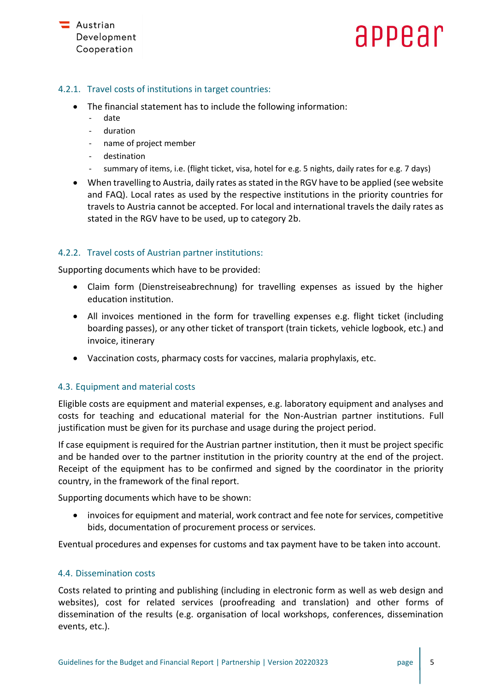# appear

# 4.2.1. Travel costs of institutions in target countries:

- The financial statement has to include the following information:
	- date
	- duration
	- name of project member
	- destination
	- summary of items, i.e. (flight ticket, visa, hotel for e.g. 5 nights, daily rates for e.g. 7 days)
- When travelling to Austria, daily rates as stated in the RGV have to be applied (see website and FAQ). Local rates as used by the respective institutions in the priority countries for travels to Austria cannot be accepted. For local and international travels the daily rates as stated in the RGV have to be used, up to category 2b.

# 4.2.2. Travel costs of Austrian partner institutions:

Supporting documents which have to be provided:

- Claim form (Dienstreiseabrechnung) for travelling expenses as issued by the higher education institution.
- All invoices mentioned in the form for travelling expenses e.g. flight ticket (including boarding passes), or any other ticket of transport (train tickets, vehicle logbook, etc.) and invoice, itinerary
- Vaccination costs, pharmacy costs for vaccines, malaria prophylaxis, etc.

### 4.3. Equipment and material costs

Eligible costs are equipment and material expenses, e.g. laboratory equipment and analyses and costs for teaching and educational material for the Non-Austrian partner institutions. Full justification must be given for its purchase and usage during the project period.

If case equipment is required for the Austrian partner institution, then it must be project specific and be handed over to the partner institution in the priority country at the end of the project. Receipt of the equipment has to be confirmed and signed by the coordinator in the priority country, in the framework of the final report.

Supporting documents which have to be shown:

• invoices for equipment and material, work contract and fee note for services, competitive bids, documentation of procurement process or services.

Eventual procedures and expenses for customs and tax payment have to be taken into account.

### 4.4. Dissemination costs

Costs related to printing and publishing (including in electronic form as well as web design and websites), cost for related services (proofreading and translation) and other forms of dissemination of the results (e.g. organisation of local workshops, conferences, dissemination events, etc.).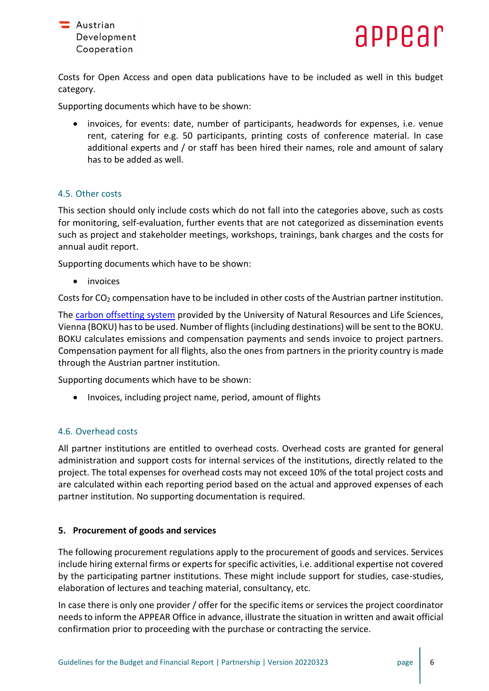

Costs for Open Access and open data publications have to be included as well in this budget category.

Supporting documents which have to be shown:

• invoices, for events: date, number of participants, headwords for expenses, i.e. venue rent, catering for e.g. 50 participants, printing costs of conference material. In case additional experts and / or staff has been hired their names, role and amount of salary has to be added as well.

### 4.5. Other costs

This section should only include costs which do not fall into the categories above, such as costs for monitoring, self-evaluation, further events that are not categorized as dissemination events such as project and stakeholder meetings, workshops, trainings, bank charges and the costs for annual audit report.

Supporting documents which have to be shown:

• invoices

Costs for  $CO<sub>2</sub>$  compensation have to be included in other costs of the Austrian partner institution.

The [carbon offsetting system](https://klimaneutralität.boku.ac.at/en/co2-kompensation/) provided by the University of Natural Resources and Life Sciences, Vienna (BOKU) has to be used. Number of flights (including destinations) will be sent to the BOKU. BOKU calculates emissions and compensation payments and sends invoice to project partners. Compensation payment for all flights, also the ones from partners in the priority country is made through the Austrian partner institution.

Supporting documents which have to be shown:

• Invoices, including project name, period, amount of flights

### 4.6. Overhead costs

All partner institutions are entitled to overhead costs. Overhead costs are granted for general administration and support costs for internal services of the institutions, directly related to the project. The total expenses for overhead costs may not exceed 10% of the total project costs and are calculated within each reporting period based on the actual and approved expenses of each partner institution. No supporting documentation is required.

### **5. Procurement of goods and services**

The following procurement regulations apply to the procurement of goods and services. Services include hiring external firms or experts for specific activities, i.e. additional expertise not covered by the participating partner institutions. These might include support for studies, case-studies, elaboration of lectures and teaching material, consultancy, etc.

In case there is only one provider / offer for the specific items or services the project coordinator needs to inform the APPEAR Office in advance, illustrate the situation in written and await official confirmation prior to proceeding with the purchase or contracting the service.